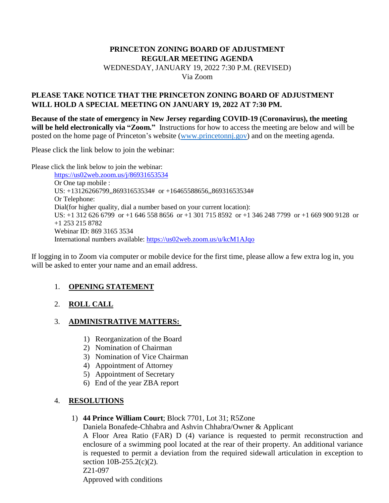### **PRINCETON ZONING BOARD OF ADJUSTMENT REGULAR MEETING AGENDA**  WEDNESDAY, JANUARY 19, 2022 7:30 P.M. (REVISED) Via Zoom

### **PLEASE TAKE NOTICE THAT THE PRINCETON ZONING BOARD OF ADJUSTMENT WILL HOLD A SPECIAL MEETING ON JANUARY 19, 2022 AT 7:30 PM.**

**Because of the state of emergency in New Jersey regarding COVID-19 (Coronavirus), the meeting will be held electronically via "Zoom."** Instructions for how to access the meeting are below and will be posted on the home page of Princeton's website [\(www.princetonnj.gov\)](http://www.princetonnj.gov/) and on the meeting agenda.

Please click the link below to join the webinar:

Please click the link below to join the webinar:

<https://us02web.zoom.us/j/86931653534> Or One tap mobile : US: +13126266799,,86931653534# or +16465588656,,86931653534# Or Telephone: Dial(for higher quality, dial a number based on your current location): US: +1 312 626 6799 or +1 646 558 8656 or +1 301 715 8592 or +1 346 248 7799 or +1 669 900 9128 or +1 253 215 8782 Webinar ID: 869 3165 3534 International numbers available:<https://us02web.zoom.us/u/kcM1AJqo>

If logging in to Zoom via computer or mobile device for the first time, please allow a few extra log in, you will be asked to enter your name and an email address.

# 1. **OPENING STATEMENT**

# 2. **ROLL CALL**

### 3. **ADMINISTRATIVE MATTERS:**

- 1) Reorganization of the Board
- 2) Nomination of Chairman
- 3) Nomination of Vice Chairman
- 4) Appointment of Attorney
- 5) Appointment of Secretary
- 6) End of the year ZBA report

### 4. **RESOLUTIONS**

1) **44 Prince William Court**; Block 7701, Lot 31; R5Zone

Daniela Bonafede-Chhabra and Ashvin Chhabra/Owner & Applicant

A Floor Area Ratio (FAR) D (4) variance is requested to permit reconstruction and enclosure of a swimming pool located at the rear of their property. An additional variance is requested to permit a deviation from the required sidewall articulation in exception to section  $10B-255.2(c)(2)$ . Z21-097

Approved with conditions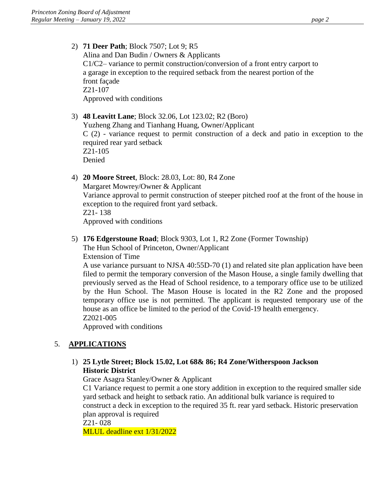2) **71 Deer Path**; Block 7507; Lot 9; R5

Alina and Dan Budin / Owners & Applicants C1/C2– variance to permit construction/conversion of a front entry carport to a garage in exception to the required setback from the nearest portion of the front façade Z21-107 Approved with conditions

- 3) **48 Leavitt Lane**; Block 32.06, Lot 123.02; R2 (Boro) Yuzheng Zhang and Tianhang Huang, Owner/Applicant C (2) - variance request to permit construction of a deck and patio in exception to the required rear yard setback Z21-105 Denied
- 4) **20 Moore Street**, Block: 28.03, Lot: 80, R4 Zone Margaret Mowrey/Owner & Applicant Variance approval to permit construction of steeper pitched roof at the front of the house in exception to the required front yard setback. Z21- 138 Approved with conditions
- 5) **176 Edgerstoune Road**; Block 9303, Lot 1, R2 Zone (Former Township) The Hun School of Princeton, Owner/Applicant

Extension of Time

A use variance pursuant to NJSA 40:55D-70 (1) and related site plan application have been filed to permit the temporary conversion of the Mason House, a single family dwelling that previously served as the Head of School residence, to a temporary office use to be utilized by the Hun School. The Mason House is located in the R2 Zone and the proposed temporary office use is not permitted. The applicant is requested temporary use of the house as an office be limited to the period of the Covid-19 health emergency. Z2021-005

Approved with conditions

### 5. **APPLICATIONS**

### 1) **25 Lytle Street; Block 15.02, Lot 68& 86; R4 Zone/Witherspoon Jackson Historic District**

Grace Asagra Stanley/Owner & Applicant

C1 Variance request to permit a one story addition in exception to the required smaller side yard setback and height to setback ratio. An additional bulk variance is required to construct a deck in exception to the required 35 ft. rear yard setback. Historic preservation plan approval is required

Z21- 028

MLUL deadline ext 1/31/2022